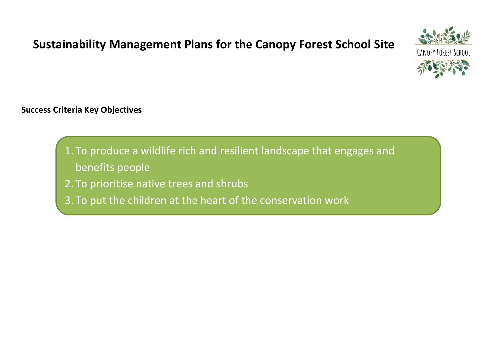## **Sustainability Management Plans for the Canopy Forest School Site**



### **Success Criteria Key Objectives**

- 1. To produce a wildlife rich and resilient landscape that engages and benefits people
- 2. To prioritise native trees and shrubs
- 3. To put the children at the heart of the conservation work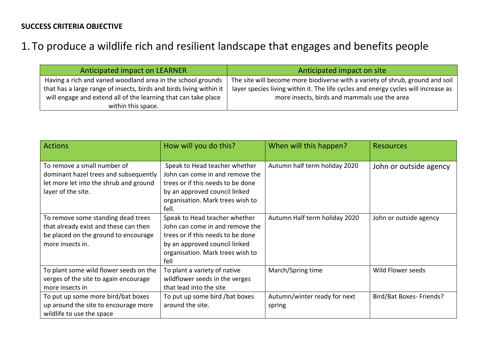## 1. To produce a wildlife rich and resilient landscape that engages and benefits people

| Anticipated impact on LEARNER                                       | Anticipated impact on site                                                         |
|---------------------------------------------------------------------|------------------------------------------------------------------------------------|
| Having a rich and varied woodland area in the school grounds        | The site will become more biodiverse with a variety of shrub, ground and soil      |
| that has a large range of insects, birds and birds living within it | layer species living within it. The life cycles and energy cycles will increase as |
| will engage and extend all of the learning that can take place      | more insects, birds and mammals use the area                                       |
| within this space.                                                  |                                                                                    |

| <b>Actions</b>                                                                                                                          | How will you do this?                                                                                                                                                               | When will this happen?                 | <b>Resources</b>         |
|-----------------------------------------------------------------------------------------------------------------------------------------|-------------------------------------------------------------------------------------------------------------------------------------------------------------------------------------|----------------------------------------|--------------------------|
| To remove a small number of<br>dominant hazel trees and subsequently<br>let more let into the shrub and ground<br>layer of the site.    | Speak to Head teacher whether<br>John can come in and remove the<br>trees or if this needs to be done<br>by an approved council linked<br>organisation. Mark trees wish to<br>fell. | Autumn half term holiday 2020          | John or outside agency   |
| To remove some standing dead trees<br>that already exist and these can then<br>be placed on the ground to encourage<br>more insects in. | Speak to Head teacher whether<br>John can come in and remove the<br>trees or if this needs to be done<br>by an approved council linked<br>organisation. Mark trees wish to<br>fell  | Autumn Half term holiday 2020          | John or outside agency   |
| To plant some wild flower seeds on the<br>verges of the site to again encourage<br>more insects in                                      | To plant a variety of native<br>wildflower seeds in the verges<br>that lead into the site                                                                                           | March/Spring time                      | Wild Flower seeds        |
| To put up some more bird/bat boxes<br>up around the site to encourage more<br>wildlife to use the space                                 | To put up some bird /bat boxes<br>around the site.                                                                                                                                  | Autumn/winter ready for next<br>spring | Bird/Bat Boxes- Friends? |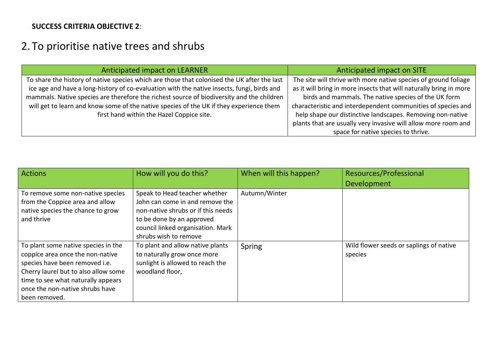#### **SUCCESS CRITERIA OBJECTIVE 2**:

## 2. To prioritise native trees and shrubs

| Anticipated impact on LEARNER                                                               | Anticipated impact on SITE                                         |  |
|---------------------------------------------------------------------------------------------|--------------------------------------------------------------------|--|
| To share the history of native species which are those that colonised the UK after the last | The site will thrive with more native species of ground foliage    |  |
| ice age and have a long-history of co-evaluation with the native insects, fungi, birds and  | as it will bring in more insects that will naturally bring in more |  |
| mammals. Native species are therefore the richest source of biodiversity and the children   | birds and mammals. The native species of the UK form               |  |
| will get to learn and know some of the native species of the UK if they experience them     | characteristic and interdependent communities of species and       |  |
| first hand within the Hazel Coppice site.                                                   | help shape our distinctive landscapes. Removing non-native         |  |
|                                                                                             | plants that are usually very invasive will allow more room and     |  |
|                                                                                             | space for native species to thrive.                                |  |

| Actions                                                                                                                                                                                                                                     | How will you do this?                                                                                                                                                                             | When will this happen? | Resources/Professional<br><b>Development</b>       |
|---------------------------------------------------------------------------------------------------------------------------------------------------------------------------------------------------------------------------------------------|---------------------------------------------------------------------------------------------------------------------------------------------------------------------------------------------------|------------------------|----------------------------------------------------|
| To remove some non-native species<br>from the Coppice area and allow<br>native species the chance to grow<br>and thrive                                                                                                                     | Speak to Head teacher whether<br>John can come in and remove the<br>non-native shrubs or if this needs<br>to be done by an approved<br>council linked organisation. Mark<br>shrubs wish to remove | Autumn/Winter          |                                                    |
| To plant some native species in the<br>coppice area once the non-native<br>species have been removed i.e.<br>Cherry laurel but to also allow some<br>time to see what naturally appears<br>once the non-native shrubs have<br>been removed. | To plant and allow native plants<br>to naturally grow once more<br>sunlight is allowed to reach the<br>woodland floor,                                                                            | Spring                 | Wild flower seeds or saplings of native<br>species |